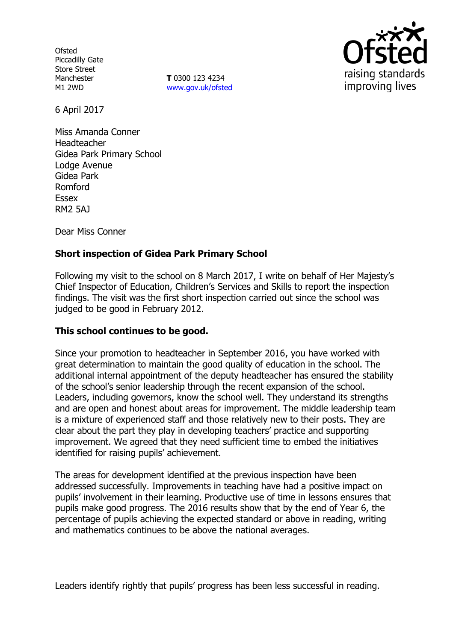**Ofsted** Piccadilly Gate Store Street Manchester M1 2WD

**T** 0300 123 4234 www.gov.uk/ofsted



6 April 2017

Miss Amanda Conner Headteacher Gidea Park Primary School Lodge Avenue Gidea Park Romford Essex RM2 5AJ

Dear Miss Conner

# **Short inspection of Gidea Park Primary School**

Following my visit to the school on 8 March 2017, I write on behalf of Her Majesty's Chief Inspector of Education, Children's Services and Skills to report the inspection findings. The visit was the first short inspection carried out since the school was judged to be good in February 2012.

## **This school continues to be good.**

Since your promotion to headteacher in September 2016, you have worked with great determination to maintain the good quality of education in the school. The additional internal appointment of the deputy headteacher has ensured the stability of the school's senior leadership through the recent expansion of the school. Leaders, including governors, know the school well. They understand its strengths and are open and honest about areas for improvement. The middle leadership team is a mixture of experienced staff and those relatively new to their posts. They are clear about the part they play in developing teachers' practice and supporting improvement. We agreed that they need sufficient time to embed the initiatives identified for raising pupils' achievement.

The areas for development identified at the previous inspection have been addressed successfully. Improvements in teaching have had a positive impact on pupils' involvement in their learning. Productive use of time in lessons ensures that pupils make good progress. The 2016 results show that by the end of Year 6, the percentage of pupils achieving the expected standard or above in reading, writing and mathematics continues to be above the national averages.

Leaders identify rightly that pupils' progress has been less successful in reading.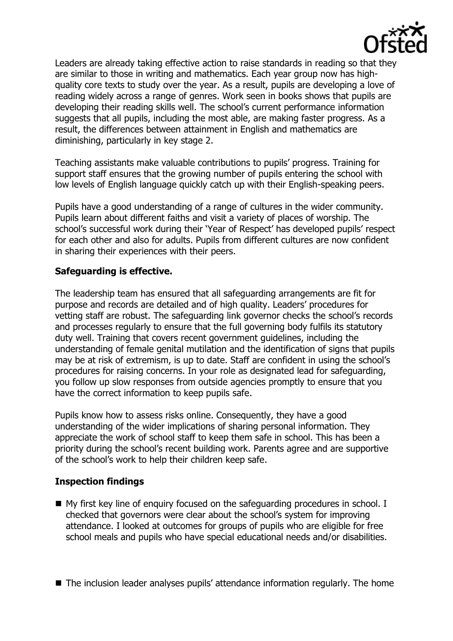

Leaders are already taking effective action to raise standards in reading so that they are similar to those in writing and mathematics. Each year group now has highquality core texts to study over the year. As a result, pupils are developing a love of reading widely across a range of genres. Work seen in books shows that pupils are developing their reading skills well. The school's current performance information suggests that all pupils, including the most able, are making faster progress. As a result, the differences between attainment in English and mathematics are diminishing, particularly in key stage 2.

Teaching assistants make valuable contributions to pupils' progress. Training for support staff ensures that the growing number of pupils entering the school with low levels of English language quickly catch up with their English-speaking peers.

Pupils have a good understanding of a range of cultures in the wider community. Pupils learn about different faiths and visit a variety of places of worship. The school's successful work during their 'Year of Respect' has developed pupils' respect for each other and also for adults. Pupils from different cultures are now confident in sharing their experiences with their peers.

## **Safeguarding is effective.**

The leadership team has ensured that all safeguarding arrangements are fit for purpose and records are detailed and of high quality. Leaders' procedures for vetting staff are robust. The safeguarding link governor checks the school's records and processes regularly to ensure that the full governing body fulfils its statutory duty well. Training that covers recent government guidelines, including the understanding of female genital mutilation and the identification of signs that pupils may be at risk of extremism, is up to date. Staff are confident in using the school's procedures for raising concerns. In your role as designated lead for safeguarding, you follow up slow responses from outside agencies promptly to ensure that you have the correct information to keep pupils safe.

Pupils know how to assess risks online. Consequently, they have a good understanding of the wider implications of sharing personal information. They appreciate the work of school staff to keep them safe in school. This has been a priority during the school's recent building work. Parents agree and are supportive of the school's work to help their children keep safe.

# **Inspection findings**

- My first key line of enquiry focused on the safeguarding procedures in school. I checked that governors were clear about the school's system for improving attendance. I looked at outcomes for groups of pupils who are eligible for free school meals and pupils who have special educational needs and/or disabilities.
- The inclusion leader analyses pupils' attendance information regularly. The home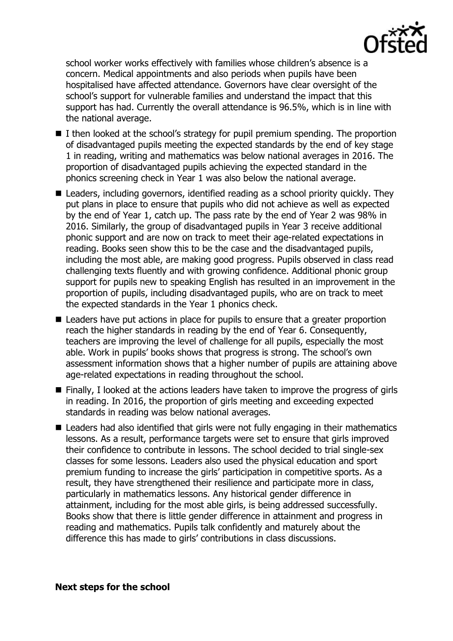

school worker works effectively with families whose children's absence is a concern. Medical appointments and also periods when pupils have been hospitalised have affected attendance. Governors have clear oversight of the school's support for vulnerable families and understand the impact that this support has had. Currently the overall attendance is 96.5%, which is in line with the national average.

- $\blacksquare$  I then looked at the school's strategy for pupil premium spending. The proportion of disadvantaged pupils meeting the expected standards by the end of key stage 1 in reading, writing and mathematics was below national averages in 2016. The proportion of disadvantaged pupils achieving the expected standard in the phonics screening check in Year 1 was also below the national average.
- Leaders, including governors, identified reading as a school priority quickly. They put plans in place to ensure that pupils who did not achieve as well as expected by the end of Year 1, catch up. The pass rate by the end of Year 2 was 98% in 2016. Similarly, the group of disadvantaged pupils in Year 3 receive additional phonic support and are now on track to meet their age-related expectations in reading. Books seen show this to be the case and the disadvantaged pupils, including the most able, are making good progress. Pupils observed in class read challenging texts fluently and with growing confidence. Additional phonic group support for pupils new to speaking English has resulted in an improvement in the proportion of pupils, including disadvantaged pupils, who are on track to meet the expected standards in the Year 1 phonics check.
- Leaders have put actions in place for pupils to ensure that a greater proportion reach the higher standards in reading by the end of Year 6. Consequently, teachers are improving the level of challenge for all pupils, especially the most able. Work in pupils' books shows that progress is strong. The school's own assessment information shows that a higher number of pupils are attaining above age-related expectations in reading throughout the school.
- $\blacksquare$  Finally, I looked at the actions leaders have taken to improve the progress of girls in reading. In 2016, the proportion of girls meeting and exceeding expected standards in reading was below national averages.
- Leaders had also identified that girls were not fully engaging in their mathematics lessons. As a result, performance targets were set to ensure that girls improved their confidence to contribute in lessons. The school decided to trial single-sex classes for some lessons. Leaders also used the physical education and sport premium funding to increase the girls' participation in competitive sports. As a result, they have strengthened their resilience and participate more in class, particularly in mathematics lessons. Any historical gender difference in attainment, including for the most able girls, is being addressed successfully. Books show that there is little gender difference in attainment and progress in reading and mathematics. Pupils talk confidently and maturely about the difference this has made to girls' contributions in class discussions.